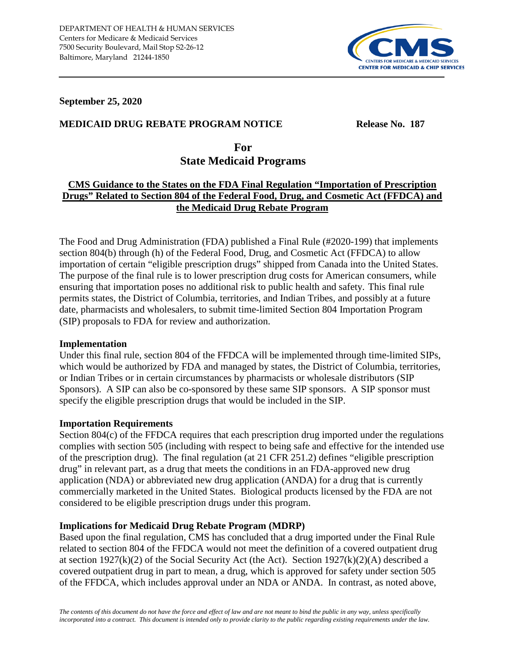

### **September 25, 2020**

## **MEDICAID DRUG REBATE PROGRAM NOTICE Release No. 187**

**For State Medicaid Programs**

# **CMS Guidance to the States on the FDA Final Regulation "Importation of Prescription Drugs" Related to Section 804 of the Federal Food, Drug, and Cosmetic Act (FFDCA) and the Medicaid Drug Rebate Program**

The Food and Drug Administration (FDA) published a Final Rule (#2020-199) that implements section 804(b) through (h) of the Federal Food, Drug, and Cosmetic Act (FFDCA) to allow importation of certain "eligible prescription drugs" shipped from Canada into the United States. The purpose of the final rule is to lower prescription drug costs for American consumers, while ensuring that importation poses no additional risk to public health and safety. This final rule permits states, the District of Columbia, territories, and Indian Tribes, and possibly at a future date, pharmacists and wholesalers, to submit time-limited Section 804 Importation Program (SIP) proposals to FDA for review and authorization.

#### **Implementation**

Under this final rule, section 804 of the FFDCA will be implemented through time-limited SIPs, which would be authorized by FDA and managed by states, the District of Columbia, territories, or Indian Tribes or in certain circumstances by pharmacists or wholesale distributors (SIP Sponsors). A SIP can also be co-sponsored by these same SIP sponsors. A SIP sponsor must specify the eligible prescription drugs that would be included in the SIP.

#### **Importation Requirements**

Section 804(c) of the FFDCA requires that each prescription drug imported under the regulations complies with section 505 (including with respect to being safe and effective for the intended use of the prescription drug). The final regulation (at 21 CFR 251.2) defines "eligible prescription drug" in relevant part, as a drug that meets the conditions in an FDA-approved new drug application (NDA) or abbreviated new drug application (ANDA) for a drug that is currently commercially marketed in the United States. Biological products licensed by the FDA are not considered to be eligible prescription drugs under this program.

## **Implications for Medicaid Drug Rebate Program (MDRP)**

Based upon the final regulation, CMS has concluded that a drug imported under the Final Rule related to section 804 of the FFDCA would not meet the definition of a covered outpatient drug at section  $1927(k)(2)$  of the Social Security Act (the Act). Section  $1927(k)(2)(A)$  described a covered outpatient drug in part to mean, a drug, which is approved for safety under section 505 of the FFDCA, which includes approval under an NDA or ANDA. In contrast, as noted above,